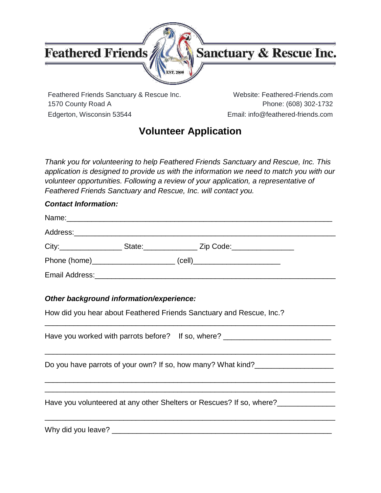

### Sanctuary & Rescue Inc.

Feathered Friends Sanctuary & Rescue Inc. Website: Feathered-Friends.com 1570 County Road A Phone: (608) 302-1732 Edgerton, Wisconsin 53544 Email: info@feathered-friends.com

### **Volunteer Application**

*Thank you for volunteering to help Feathered Friends Sanctuary and Rescue, Inc. This application is designed to provide us with the information we need to match you with our volunteer opportunities. Following a review of your application, a representative of Feathered Friends Sanctuary and Rescue, Inc. will contact you.*

#### *Contact Information:*

| City:___________________              | State: Zip Code:           |  |
|---------------------------------------|----------------------------|--|
| Phone (home)_________________________ | $\left(\text{cell}\right)$ |  |
|                                       |                            |  |

#### *Other background information/experience:*

How did you hear about Feathered Friends Sanctuary and Rescue, Inc.?

Have you worked with parrots before? If so, where? \_\_\_\_\_\_\_\_\_\_\_\_\_\_\_\_\_\_\_\_\_\_\_\_\_\_\_\_\_\_\_\_\_\_\_\_\_\_\_\_\_\_\_\_\_\_\_\_\_\_\_\_\_\_\_\_\_\_\_\_\_\_\_\_\_\_\_\_\_\_ Do you have parrots of your own? If so, how many? What kind? \_\_\_\_\_\_\_\_\_\_\_\_\_\_\_\_\_\_\_\_\_\_\_\_\_\_\_\_\_\_\_\_\_\_\_\_\_\_\_\_\_\_\_\_\_\_\_\_\_\_\_\_\_\_\_\_\_\_\_\_\_\_\_\_\_\_\_\_\_\_ \_\_\_\_\_\_\_\_\_\_\_\_\_\_\_\_\_\_\_\_\_\_\_\_\_\_\_\_\_\_\_\_\_\_\_\_\_\_\_\_\_\_\_\_\_\_\_\_\_\_\_\_\_\_\_\_\_\_\_\_\_\_\_\_\_\_\_\_\_\_ Have you volunteered at any other Shelters or Rescues? If so, where?\_\_\_\_\_\_\_\_\_\_\_\_\_\_ \_\_\_\_\_\_\_\_\_\_\_\_\_\_\_\_\_\_\_\_\_\_\_\_\_\_\_\_\_\_\_\_\_\_\_\_\_\_\_\_\_\_\_\_\_\_\_\_\_\_\_\_\_\_\_\_\_\_\_\_\_\_\_\_\_\_\_\_\_\_

\_\_\_\_\_\_\_\_\_\_\_\_\_\_\_\_\_\_\_\_\_\_\_\_\_\_\_\_\_\_\_\_\_\_\_\_\_\_\_\_\_\_\_\_\_\_\_\_\_\_\_\_\_\_\_\_\_\_\_\_\_\_\_\_\_\_\_\_\_\_

Why did you leave? The same of the same of the same of the same of the same of the same of the same of the same of the same of the same of the same of the same of the same of the same of the same of the same of the same of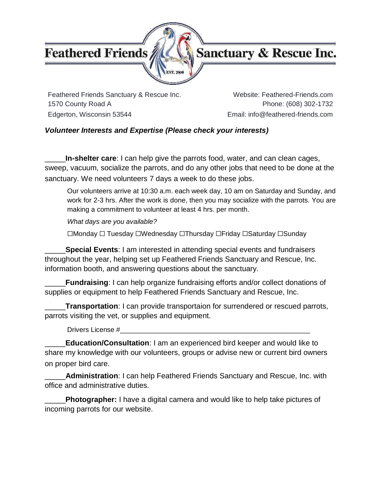

### Sanctuary & Rescue Inc.

Feathered Friends Sanctuary & Rescue Inc. Website: Feathered-Friends.com 1570 County Road A Phone: (608) 302-1732 Edgerton, Wisconsin 53544 **Email:** info@feathered-friends.com

#### *Volunteer Interests and Expertise (Please check your interests)*

\_\_\_\_\_**In-shelter care**: I can help give the parrots food, water, and can clean cages, sweep, vacuum, socialize the parrots, and do any other jobs that need to be done at the sanctuary. We need volunteers 7 days a week to do these jobs.

Our volunteers arrive at 10:30 a.m. each week day, 10 am on Saturday and Sunday, and work for 2-3 hrs. After the work is done, then you may socialize with the parrots. You are making a commitment to volunteer at least 4 hrs. per month.

*What days are you available?*

☐Monday ☐ Tuesday ☐Wednesday ☐Thursday ☐Friday ☐Saturday ☐Sunday

\_\_\_\_\_**Special Events**: I am interested in attending special events and fundraisers throughout the year, helping set up Feathered Friends Sanctuary and Rescue, Inc. information booth, and answering questions about the sanctuary.

\_\_\_\_\_**Fundraising**: I can help organize fundraising efforts and/or collect donations of supplies or equipment to help Feathered Friends Sanctuary and Rescue, Inc.

\_\_\_\_\_**Transportation**: I can provide transportaion for surrendered or rescued parrots, parrots visiting the vet, or supplies and equipment.

Drivers License #\_\_\_\_\_\_\_\_\_\_\_\_\_\_\_\_\_\_\_\_\_\_\_\_\_\_\_\_\_\_\_\_\_\_\_\_\_\_\_\_\_\_\_\_\_\_\_\_\_\_

\_\_\_\_\_**Education/Consultation**: I am an experienced bird keeper and would like to share my knowledge with our volunteers, groups or advise new or current bird owners on proper bird care.

\_\_\_\_\_**Administration**: I can help Feathered Friends Sanctuary and Rescue, Inc. with office and administrative duties.

\_\_\_\_\_**Photographer:** I have a digital camera and would like to help take pictures of incoming parrots for our website.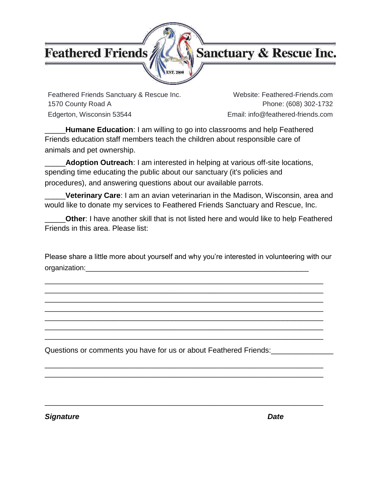### Sanctuary & Rescue Inc.

Feathered Friends Sanctuary & Rescue Inc. Website: Feathered-Friends.com 1570 County Road A Phone: (608) 302-1732 Edgerton, Wisconsin 53544 **Email:** info@feathered-friends.com

\_\_\_\_\_**Humane Education**: I am willing to go into classrooms and help Feathered Friends education staff members teach the children about responsible care of animals and pet ownership.

\_\_\_\_\_**Adoption Outreach**: I am interested in helping at various off-site locations, spending time educating the public about our sanctuary (it's policies and procedures), and answering questions about our available parrots.

\_\_\_\_\_**Veterinary Care**: I am an avian veterinarian in the Madison, Wisconsin, area and would like to donate my services to Feathered Friends Sanctuary and Rescue, Inc.

\_\_\_\_\_**Other**: I have another skill that is not listed here and would like to help Feathered Friends in this area. Please list:

Please share a little more about yourself and why you're interested in volunteering with our organization:

\_\_\_\_\_\_\_\_\_\_\_\_\_\_\_\_\_\_\_\_\_\_\_\_\_\_\_\_\_\_\_\_\_\_\_\_\_\_\_\_\_\_\_\_\_\_\_\_\_\_\_\_\_\_\_\_\_\_\_\_\_\_\_\_\_\_\_\_\_\_ \_\_\_\_\_\_\_\_\_\_\_\_\_\_\_\_\_\_\_\_\_\_\_\_\_\_\_\_\_\_\_\_\_\_\_\_\_\_\_\_\_\_\_\_\_\_\_\_\_\_\_\_\_\_\_\_\_\_\_\_\_\_\_\_\_\_\_\_\_\_ \_\_\_\_\_\_\_\_\_\_\_\_\_\_\_\_\_\_\_\_\_\_\_\_\_\_\_\_\_\_\_\_\_\_\_\_\_\_\_\_\_\_\_\_\_\_\_\_\_\_\_\_\_\_\_\_\_\_\_\_\_\_\_\_\_\_\_\_\_\_ \_\_\_\_\_\_\_\_\_\_\_\_\_\_\_\_\_\_\_\_\_\_\_\_\_\_\_\_\_\_\_\_\_\_\_\_\_\_\_\_\_\_\_\_\_\_\_\_\_\_\_\_\_\_\_\_\_\_\_\_\_\_\_\_\_\_\_\_\_\_ \_\_\_\_\_\_\_\_\_\_\_\_\_\_\_\_\_\_\_\_\_\_\_\_\_\_\_\_\_\_\_\_\_\_\_\_\_\_\_\_\_\_\_\_\_\_\_\_\_\_\_\_\_\_\_\_\_\_\_\_\_\_\_\_\_\_\_\_\_\_ \_\_\_\_\_\_\_\_\_\_\_\_\_\_\_\_\_\_\_\_\_\_\_\_\_\_\_\_\_\_\_\_\_\_\_\_\_\_\_\_\_\_\_\_\_\_\_\_\_\_\_\_\_\_\_\_\_\_\_\_\_\_\_\_\_\_\_\_\_\_ \_\_\_\_\_\_\_\_\_\_\_\_\_\_\_\_\_\_\_\_\_\_\_\_\_\_\_\_\_\_\_\_\_\_\_\_\_\_\_\_\_\_\_\_\_\_\_\_\_\_\_\_\_\_\_\_\_\_\_\_\_\_\_\_\_\_\_\_\_\_

\_\_\_\_\_\_\_\_\_\_\_\_\_\_\_\_\_\_\_\_\_\_\_\_\_\_\_\_\_\_\_\_\_\_\_\_\_\_\_\_\_\_\_\_\_\_\_\_\_\_\_\_\_\_\_\_\_\_\_\_\_\_\_\_\_\_\_\_\_\_ \_\_\_\_\_\_\_\_\_\_\_\_\_\_\_\_\_\_\_\_\_\_\_\_\_\_\_\_\_\_\_\_\_\_\_\_\_\_\_\_\_\_\_\_\_\_\_\_\_\_\_\_\_\_\_\_\_\_\_\_\_\_\_\_\_\_\_\_\_\_

\_\_\_\_\_\_\_\_\_\_\_\_\_\_\_\_\_\_\_\_\_\_\_\_\_\_\_\_\_\_\_\_\_\_\_\_\_\_\_\_\_\_\_\_\_\_\_\_\_\_\_\_\_\_\_\_\_\_\_\_\_\_\_\_\_\_\_\_\_\_

Questions or comments you have for us or about Feathered Friends:

*Signature Date*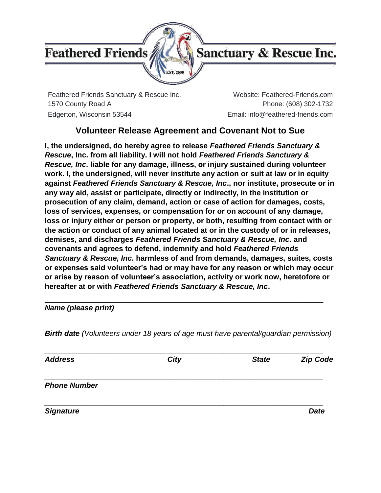

Feathered Friends Sanctuary & Rescue Inc. Website: Feathered-Friends.com 1570 County Road A Phone: (608) 302-1732 Edgerton, Wisconsin 53544 Email: info@feathered-friends.com

#### **Volunteer Release Agreement and Covenant Not to Sue**

**I, the undersigned, do hereby agree to release** *Feathered Friends Sanctuary & Rescue***, Inc. from all liability. I will not hold** *Feathered Friends Sanctuary & Rescue, Inc***. liable for any damage, illness, or injury sustained during volunteer work. I, the undersigned, will never institute any action or suit at law or in equity against** *Feathered Friends Sanctuary & Rescue, Inc***., nor institute, prosecute or in any way aid, assist or participate, directly or indirectly, in the institution or prosecution of any claim, demand, action or case of action for damages, costs, loss of services, expenses, or compensation for or on account of any damage, loss or injury either or person or property, or both, resulting from contact with or the action or conduct of any animal located at or in the custody of or in releases, demises, and discharges** *Feathered Friends Sanctuary & Rescue, Inc***. and covenants and agrees to defend, indemnify and hold** *Feathered Friends Sanctuary & Rescue, Inc***. harmless of and from demands, damages, suites, costs or expenses said volunteer's had or may have for any reason or which may occur or arise by reason of volunteer's association, activity or work now, heretofore or hereafter at or with** *Feathered Friends Sanctuary & Rescue, Inc***.**

*Name (please print)*

*Birth date (Volunteers under 18 years of age must have parental/guardian permission)*

\_\_\_\_\_\_\_\_\_\_\_\_\_\_\_\_\_\_\_\_\_\_\_\_\_\_\_\_\_\_\_\_\_\_\_\_\_\_\_\_\_\_\_\_\_\_\_\_\_\_\_\_\_\_\_\_\_\_\_\_\_\_\_\_\_\_\_\_\_\_

*\_\_\_\_\_\_\_\_\_\_\_\_\_\_\_\_\_\_\_\_\_\_\_\_\_\_\_\_\_\_\_\_\_\_\_\_\_\_\_\_\_\_\_\_\_\_\_\_\_\_\_\_\_\_\_\_\_\_\_\_\_\_\_\_\_\_\_\_\_\_*

*\_\_\_\_\_\_\_\_\_\_\_\_\_\_\_\_\_\_\_\_\_\_\_\_\_\_\_\_\_\_\_\_\_\_\_\_\_\_\_\_\_\_\_\_\_\_\_\_\_\_\_\_\_\_\_\_\_\_\_\_\_\_\_\_\_\_\_\_\_\_ Address City State Zip Code \_\_\_\_\_\_\_\_\_\_\_\_\_\_\_\_\_\_\_\_\_\_\_\_\_\_\_\_\_\_\_\_\_\_\_\_\_\_\_\_\_\_\_\_\_\_\_\_\_\_\_\_\_\_\_\_\_\_\_\_\_\_\_\_\_\_\_\_\_\_ Phone Number \_\_\_\_\_\_\_\_\_\_\_\_\_\_\_\_\_\_\_\_\_\_\_\_\_\_\_\_\_\_\_\_\_\_\_\_\_\_\_\_\_\_\_\_\_\_\_\_\_\_\_\_\_\_\_\_\_\_\_\_\_\_\_\_\_\_\_\_\_\_ Signature Date*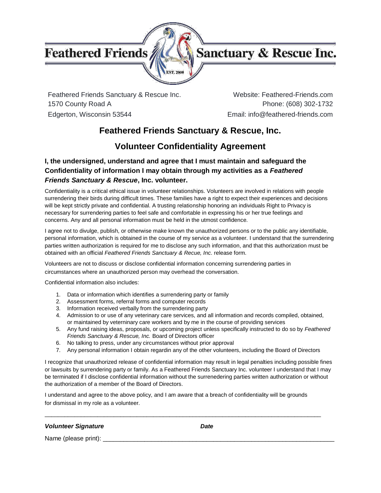

### Sanctuary & Rescue Inc.

Feathered Friends Sanctuary & Rescue Inc. Website: Feathered-Friends.com 1570 County Road A Phone: (608) 302-1732 Edgerton, Wisconsin 53544 Email: info@feathered-friends.com

#### **Feathered Friends Sanctuary & Rescue, Inc.**

#### **Volunteer Confidentiality Agreement**

#### **I, the undersigned, understand and agree that I must maintain and safeguard the Confidentiality of information I may obtain through my activities as a** *Feathered Friends Sanctuary & Rescue***, Inc. volunteer.**

Confidentiality is a critical ethical issue in volunteer relationships. Volunteers are involved in relations with people surrendering their birds during difficult times. These families have a right to expect their experiences and decisions will be kept strictly private and confidential. A trusting relationship honoring an individuals Right to Privacy is necessary for surrendering parties to feel safe and comfortable in expressing his or her true feelings and concerns. Any and all personal information must be held in the utmost confidence.

I agree not to divulge, publish, or otherwise make known the unauthorized persons or to the public any identifiable, personal information, which is obtained in the course of my service as a volunteer. I understand that the surrendering parties written authorization is required for me to disclose any such information, and that this authorization must be obtained with an official *Feathered Friends Sanctuary & Recue, Inc*. release form.

Volunteers are not to discuss or disclose confidential information concerning surrendering parties in circumstances where an unauthorized person may overhead the conversation.

Confidential information also includes:

- 1. Data or information which identifies a surrendering party or family
- 2. Assessment forms, referral forms and computer records
- 3. Information received verbally from the surrendering party
- 4. Admission to or use of any veterinary care services, and all information and records compiled, obtained, or maintained by veterninary care workers and by me in the course of providing services
- 5. Any fund raising ideas, proposals, or upcoming project unless specifically instructed to do so by *Feathered Friends Sanctuary & Rescue, Inc.* Board of Directors officer
- 6. No talking to press, under any circumstances without prior approval
- 7. Any personal information I obtain regardin any of the other volunteers, including the Board of Directors

I recognize that unauthorized release of confidential information may result in legal penalties including possible fines or lawsuits by surrendering party or family. As a Feathered Friends Sanctuary Inc. volunteer I understand that I may be terminated if I disclose confidential information without the surrenedering parties written authorization or without the authorization of a member of the Board of Directors.

I understand and agree to the above policy, and I am aware that a breach of confidentiality will be grounds for dismissal in my role as a volunteer.

\_\_\_\_\_\_\_\_\_\_\_\_\_\_\_\_\_\_\_\_\_\_\_\_\_\_\_\_\_\_\_\_\_\_\_\_\_\_\_\_\_\_\_\_\_\_\_\_\_\_\_\_\_\_\_\_\_\_\_\_\_\_\_\_\_\_\_\_\_\_\_\_\_\_\_\_\_\_\_\_\_\_\_\_

#### *Volunteer Signature Date*

Name (please print): \_\_\_\_\_\_\_\_\_\_\_\_\_\_\_\_\_\_\_\_\_\_\_\_\_\_\_\_\_\_\_\_\_\_\_\_\_\_\_\_\_\_\_\_\_\_\_\_\_\_\_\_\_\_\_\_\_\_\_\_\_\_\_\_\_\_\_